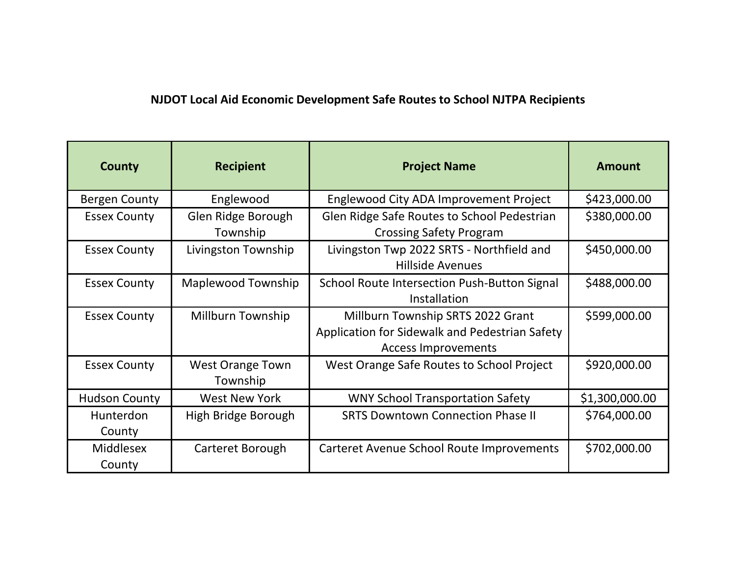## **NJDOT Local Aid Economic Development Safe Routes to School NJTPA Recipients**

| <b>County</b>              | <b>Recipient</b>                    | <b>Project Name</b>                                                                                               | <b>Amount</b>  |
|----------------------------|-------------------------------------|-------------------------------------------------------------------------------------------------------------------|----------------|
| <b>Bergen County</b>       | Englewood                           | Englewood City ADA Improvement Project                                                                            | \$423,000.00   |
| <b>Essex County</b>        | Glen Ridge Borough                  | Glen Ridge Safe Routes to School Pedestrian                                                                       | \$380,000.00   |
|                            | Township                            | <b>Crossing Safety Program</b>                                                                                    |                |
| <b>Essex County</b>        | Livingston Township                 | Livingston Twp 2022 SRTS - Northfield and<br><b>Hillside Avenues</b>                                              | \$450,000.00   |
| <b>Essex County</b>        | <b>Maplewood Township</b>           | School Route Intersection Push-Button Signal<br>Installation                                                      | \$488,000.00   |
| <b>Essex County</b>        | Millburn Township                   | Millburn Township SRTS 2022 Grant<br>Application for Sidewalk and Pedestrian Safety<br><b>Access Improvements</b> | \$599,000.00   |
| <b>Essex County</b>        | <b>West Orange Town</b><br>Township | West Orange Safe Routes to School Project                                                                         | \$920,000.00   |
| <b>Hudson County</b>       | <b>West New York</b>                | <b>WNY School Transportation Safety</b>                                                                           | \$1,300,000.00 |
| Hunterdon<br>County        | High Bridge Borough                 | <b>SRTS Downtown Connection Phase II</b>                                                                          | \$764,000.00   |
| <b>Middlesex</b><br>County | Carteret Borough                    | Carteret Avenue School Route Improvements                                                                         | \$702,000.00   |